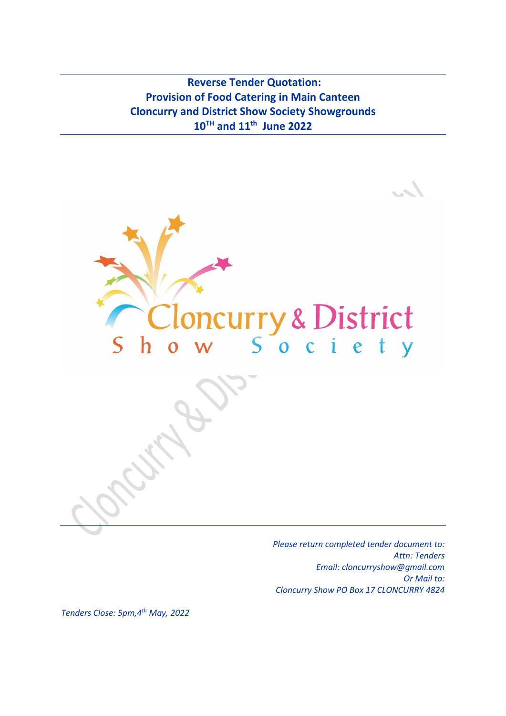**Reverse Tender Quotation: Provision of Food Catering in Main Canteen Cloncurry and District Show Society Showgrounds 10TH and 11th June 2022**



*Please return completed tender document to: Attn: Tenders Email: cloncurryshow@gmail.com Or Mail to: Cloncurry Show PO Box 17 CLONCURRY 4824*

*Tenders Close: 5pm,4 th May, 2022*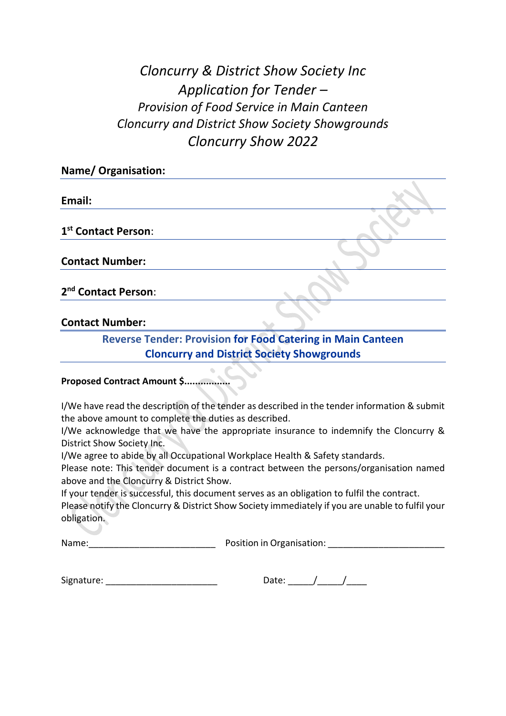# *Cloncurry & District Show Society Inc Application for Tender – Provision of Food Service in Main Canteen Cloncurry and District Show Society Showgrounds Cloncurry Show 2022*

| <b>Name/ Organisation:</b>      |  |
|---------------------------------|--|
|                                 |  |
| Email:                          |  |
|                                 |  |
| 1st Contact Person:             |  |
|                                 |  |
| <b>Contact Number:</b>          |  |
|                                 |  |
| 2 <sup>nd</sup> Contact Person: |  |
|                                 |  |

# **Contact Number:**

**Reverse Tender: Provision for Food Catering in Main Canteen Cloncurry and District Society Showgrounds**

## **Proposed Contract Amount \$.................**

I/We have read the description of the tender as described in the tender information & submit the above amount to complete the duties as described.

I/We acknowledge that we have the appropriate insurance to indemnify the Cloncurry & District Show Society Inc.

I/We agree to abide by all Occupational Workplace Health & Safety standards.

Please note: This tender document is a contract between the persons/organisation named above and the Cloncurry & District Show.

If your tender is successful, this document serves as an obligation to fulfil the contract.

Please notify the Cloncurry & District Show Society immediately if you are unable to fulfil your obligation.

Name:\_\_\_\_\_\_\_\_\_\_\_\_\_\_\_\_\_\_\_\_\_\_\_\_\_ Position in Organisation: \_\_\_\_\_\_\_\_\_\_\_\_\_\_\_\_\_\_\_\_\_\_\_

| Signature: |  |  |
|------------|--|--|
|            |  |  |

| ₩.<br>латг |  |  |  |
|------------|--|--|--|
|------------|--|--|--|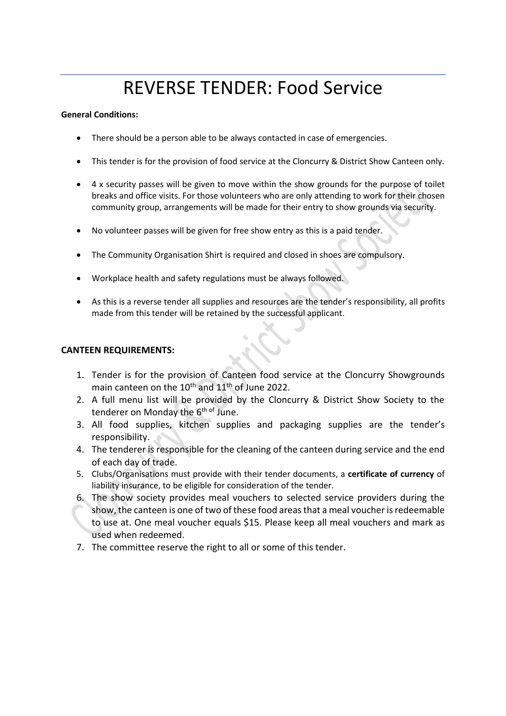# REVERSE TENDER: Food Service

#### **General Conditions:**

- There should be a person able to be always contacted in case of emergencies.
- This tender is for the provision of food service at the Cloncurry & District Show Canteen only.
- 4 x security passes will be given to move within the show grounds for the purpose of toilet breaks and office visits. For those volunteers who are only attending to work for their chosen community group, arrangements will be made for their entry to show grounds via security.
- No volunteer passes will be given for free show entry as this is a paid tender.
- The Community Organisation Shirt is required and closed in shoes are compulsory.
- Workplace health and safety regulations must be always followed.
- As this is a reverse tender all supplies and resources are the tender's responsibility, all profits made from this tender will be retained by the successful applicant.

### **CANTEEN REQUIREMENTS:**

- 1. Tender is for the provision of Canteen food service at the Cloncurry Showgrounds main canteen on the 10<sup>th</sup> and 11<sup>th</sup> of June 2022.
- 2. A full menu list will be provided by the Cloncurry & District Show Society to the tenderer on Monday the 6<sup>th of</sup> June.
- 3. All food supplies, kitchen supplies and packaging supplies are the tender's responsibility.
- 4. The tenderer is responsible for the cleaning of the canteen during service and the end of each day of trade.
- 5. Clubs/Organisations must provide with their tender documents, a **certificate of currency** of liability insurance, to be eligible for consideration of the tender.
- 6. The show society provides meal vouchers to selected service providers during the show, the canteen is one of two of these food areas that a meal voucher is redeemable to use at. One meal voucher equals \$15. Please keep all meal vouchers and mark as used when redeemed.
- 7. The committee reserve the right to all or some of this tender.